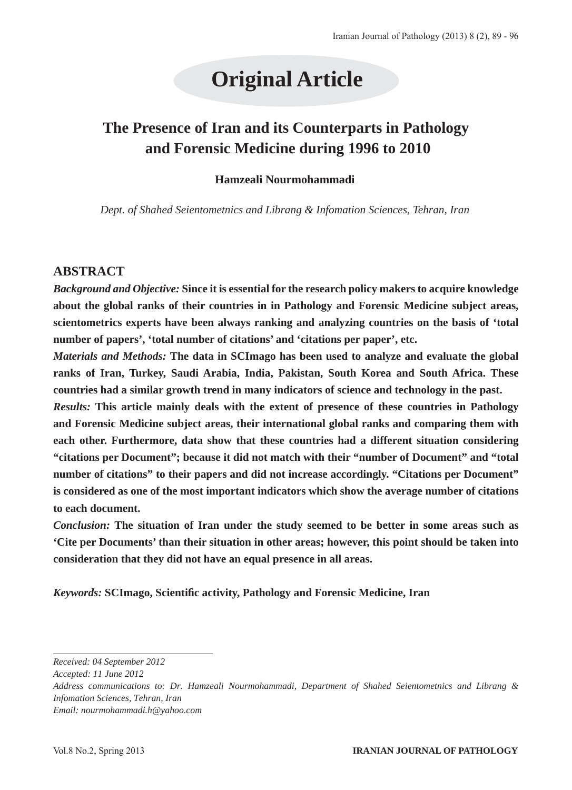# **Original Article**

# **The Presence of Iran and its Counterparts in Pathology and Forensic Medicine during 1996 to 2010**

#### **Hamzeali Nourmohammadi**

*Dept. of Shahed Seientometnics and Librang & Infomation Sciences, Tehran, Iran*

#### **ABSTRACT**

*Background and Objective:* **Since it is essential for the research policy makers to acquire knowledge about the global ranks of their countries in in Pathology and Forensic Medicine subject areas, scientometrics experts have been always ranking and analyzing countries on the basis of 'total number of papers', 'total number of citations' and 'citations per paper', etc.** 

*Materials and Methods:* **The data in SCImago has been used to analyze and evaluate the global ranks of Iran, Turkey, Saudi Arabia, India, Pakistan, South Korea and South Africa. These countries had a similar growth trend in many indicators of science and technology in the past.**

*Results:* **This article mainly deals with the extent of presence of these countries in Pathology and Forensic Medicine subject areas, their international global ranks and comparing them with each other. Furthermore, data show that these countries had a different situation considering "citations per Document"; because it did not match with their "number of Document" and "total number of citations" to their papers and did not increase accordingly. "Citations per Document" is considered as one of the most important indicators which show the average number of citations to each document.**

*Conclusion:* **The situation of Iran under the study seemed to be better in some areas such as 'Cite per Documents' than their situation in other areas; however, this point should be taken into consideration that they did not have an equal presence in all areas.**

*Keywords:* **SCImago, Scientific activity, Pathology and Forensic Medicine, Iran** 

*Email: nourmohammadi.h@yahoo.com*

*Received: 04 September 2012*

*Accepted: 11 June 2012*

*Address communications to: Dr. Hamzeali Nourmohammadi, Department of Shahed Seientometnics and Librang & Infomation Sciences, Tehran, Iran*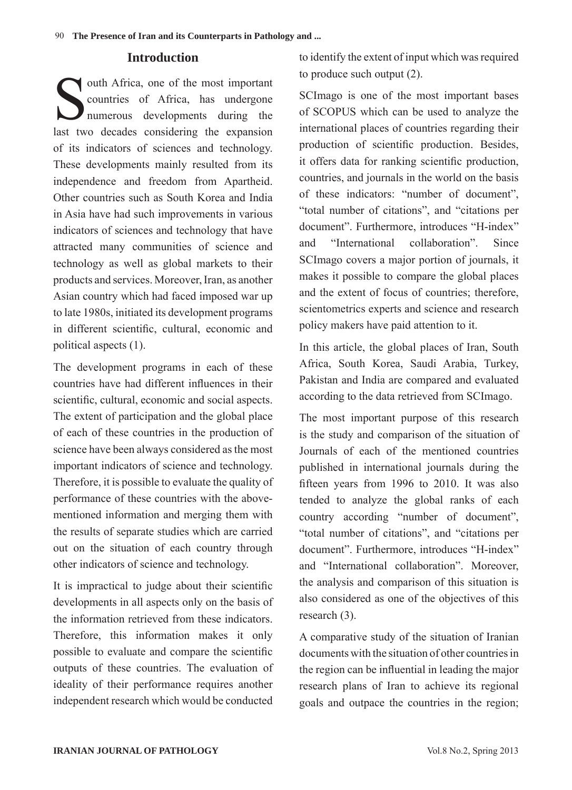#### **Introduction**

outh Africa, one of the most important<br>countries of Africa, has undergone<br>humerous developments during the countries of Africa, has undergone numerous developments during the last two decades considering the expansion of its indicators of sciences and technology. These developments mainly resulted from its independence and freedom from Apartheid. Other countries such as South Korea and India in Asia have had such improvements in various indicators of sciences and technology that have attracted many communities of science and technology as well as global markets to their products and services. Moreover, Iran, as another Asian country which had faced imposed war up to late 1980s, initiated its development programs in different scientific, cultural, economic and political aspects (1).

The development programs in each of these countries have had different influences in their scientific, cultural, economic and social aspects. The extent of participation and the global place of each of these countries in the production of science have been always considered as the most important indicators of science and technology. Therefore, it is possible to evaluate the quality of performance of these countries with the abovementioned information and merging them with the results of separate studies which are carried out on the situation of each country through other indicators of science and technology.

It is impractical to judge about their scientific developments in all aspects only on the basis of the information retrieved from these indicators. Therefore, this information makes it only possible to evaluate and compare the scientific outputs of these countries. The evaluation of ideality of their performance requires another independent research which would be conducted

to identify the extent of input which was required to produce such output (2).

SCImago is one of the most important bases of SCOPUS which can be used to analyze the international places of countries regarding their production of scientific production. Besides, it offers data for ranking scientific production, countries, and journals in the world on the basis of these indicators: "number of document", "total number of citations", and "citations per document". Furthermore, introduces "H-index" and "International collaboration". Since SCImago covers a major portion of journals, it makes it possible to compare the global places and the extent of focus of countries; therefore, scientometrics experts and science and research policy makers have paid attention to it.

In this article, the global places of Iran, South Africa, South Korea, Saudi Arabia, Turkey, Pakistan and India are compared and evaluated according to the data retrieved from SCImago.

The most important purpose of this research is the study and comparison of the situation of Journals of each of the mentioned countries published in international journals during the fifteen years from 1996 to 2010. It was also tended to analyze the global ranks of each country according "number of document", "total number of citations", and "citations per document". Furthermore, introduces "H-index" and "International collaboration". Moreover, the analysis and comparison of this situation is also considered as one of the objectives of this research (3).

A comparative study of the situation of Iranian documents with the situation of other countries in the region can be influential in leading the major research plans of Iran to achieve its regional goals and outpace the countries in the region;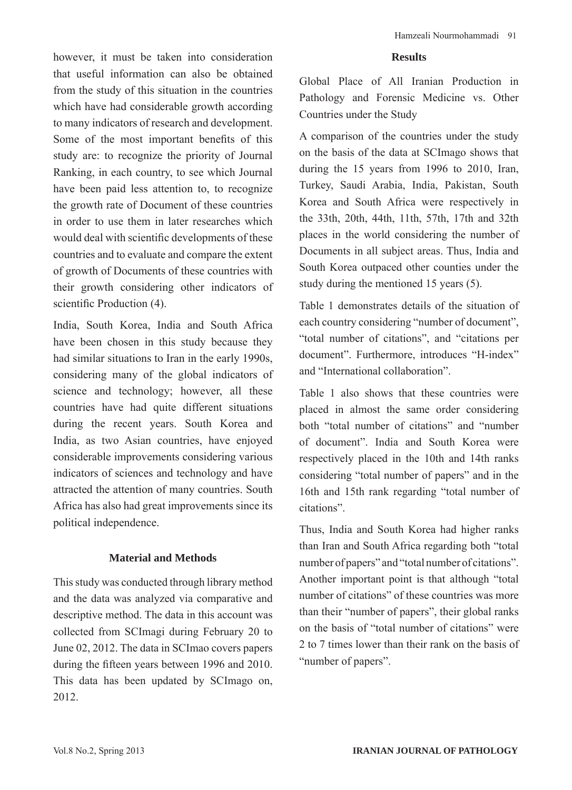however, it must be taken into consideration that useful information can also be obtained from the study of this situation in the countries which have had considerable growth according to many indicators of research and development. Some of the most important benefits of this study are: to recognize the priority of Journal Ranking, in each country, to see which Journal have been paid less attention to, to recognize the growth rate of Document of these countries in order to use them in later researches which would deal with scientific developments of these countries and to evaluate and compare the extent of growth of Documents of these countries with their growth considering other indicators of scientific Production (4).

India, South Korea, India and South Africa have been chosen in this study because they had similar situations to Iran in the early 1990s, considering many of the global indicators of science and technology; however, all these countries have had quite different situations during the recent years. South Korea and India, as two Asian countries, have enjoyed considerable improvements considering various indicators of sciences and technology and have attracted the attention of many countries. South Africa has also had great improvements since its political independence.

#### **Material and Methods**

This study was conducted through library method and the data was analyzed via comparative and descriptive method. The data in this account was collected from SCImagi during February 20 to June 02, 2012. The data in SCImao covers papers during the fifteen years between 1996 and 2010. This data has been updated by SCImago on, 2012.

#### **Results**

Global Place of All Iranian Production in Pathology and Forensic Medicine vs. Other Countries under the Study

A comparison of the countries under the study on the basis of the data at SCImago shows that during the 15 years from 1996 to 2010, Iran, Turkey, Saudi Arabia, India, Pakistan, South Korea and South Africa were respectively in the 33th, 20th, 44th, 11th, 57th, 17th and 32th places in the world considering the number of Documents in all subject areas. Thus, India and South Korea outpaced other counties under the study during the mentioned 15 years (5).

Table 1 demonstrates details of the situation of each country considering "number of document", "total number of citations", and "citations per document". Furthermore, introduces "H-index" and "International collaboration".

Table 1 also shows that these countries were placed in almost the same order considering both "total number of citations" and "number of document". India and South Korea were respectively placed in the 10th and 14th ranks considering "total number of papers" and in the 16th and 15th rank regarding "total number of citations".

Thus, India and South Korea had higher ranks than Iran and South Africa regarding both "total number of papers" and "total number of citations". Another important point is that although "total number of citations" of these countries was more than their "number of papers", their global ranks on the basis of "total number of citations" were 2 to 7 times lower than their rank on the basis of "number of papers".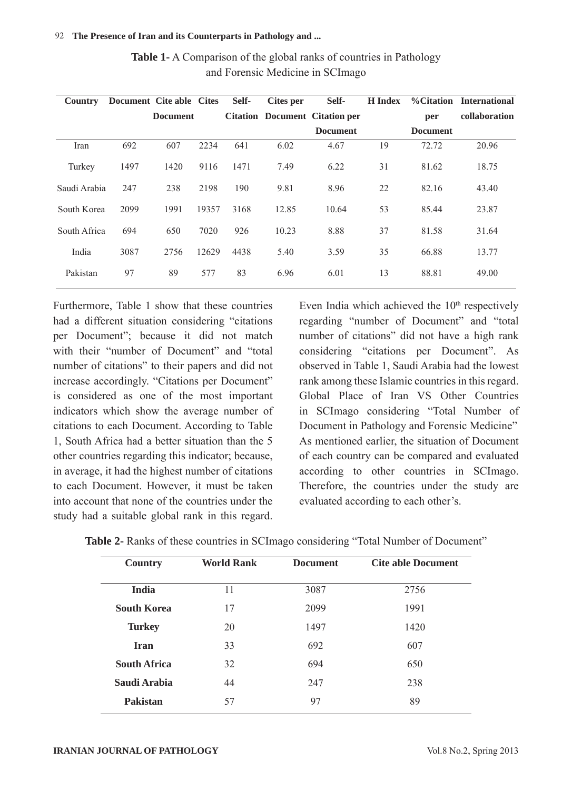| Country      | Document Cite able Cites |                 |       | Self- | <b>Cites per</b> | Self-                                 | <b>H</b> Index |                 | <b>%Citation</b> International |
|--------------|--------------------------|-----------------|-------|-------|------------------|---------------------------------------|----------------|-----------------|--------------------------------|
|              |                          | <b>Document</b> |       |       |                  | <b>Citation Document Citation per</b> |                | per             | collaboration                  |
|              |                          |                 |       |       |                  | <b>Document</b>                       |                | <b>Document</b> |                                |
| Iran         | 692                      | 607             | 2234  | 641   | 6.02             | 4.67                                  | 19             | 72.72           | 20.96                          |
| Turkey       | 1497                     | 1420            | 9116  | 1471  | 7.49             | 6.22                                  | 31             | 81.62           | 18.75                          |
| Saudi Arabia | 247                      | 238             | 2198  | 190   | 9.81             | 8.96                                  | 22             | 82.16           | 43.40                          |
| South Korea  | 2099                     | 1991            | 19357 | 3168  | 12.85            | 10.64                                 | 53             | 85.44           | 23.87                          |
| South Africa | 694                      | 650             | 7020  | 926   | 10.23            | 8.88                                  | 37             | 81.58           | 31.64                          |
| India        | 3087                     | 2756            | 12629 | 4438  | 5.40             | 3.59                                  | 35             | 66.88           | 13.77                          |
| Pakistan     | 97                       | 89              | 577   | 83    | 6.96             | 6.01                                  | 13             | 88.81           | 49.00                          |

**Table 1-** A Comparison of the global ranks of countries in Pathology and Forensic Medicine in SCImago

Furthermore, Table 1 show that these countries had a different situation considering "citations per Document"; because it did not match with their "number of Document" and "total number of citations" to their papers and did not increase accordingly. "Citations per Document" is considered as one of the most important indicators which show the average number of citations to each Document. According to Table 1, South Africa had a better situation than the 5 other countries regarding this indicator; because, in average, it had the highest number of citations to each Document. However, it must be taken into account that none of the countries under the study had a suitable global rank in this regard. Even India which achieved the  $10<sup>th</sup>$  respectively regarding "number of Document" and "total number of citations" did not have a high rank considering "citations per Document". As observed in Table 1, Saudi Arabia had the lowest rank among these Islamic countries in this regard. Global Place of Iran VS Other Countries in SCImago considering "Total Number of Document in Pathology and Forensic Medicine" As mentioned earlier, the situation of Document of each country can be compared and evaluated according to other countries in SCImago. Therefore, the countries under the study are evaluated according to each other's.

| <b>Country</b>      | <b>World Rank</b> | <b>Document</b> | <b>Cite able Document</b> |
|---------------------|-------------------|-----------------|---------------------------|
| <b>India</b>        | 11                | 3087            | 2756                      |
| <b>South Korea</b>  | 17                | 2099            | 1991                      |
| <b>Turkey</b>       | 20                | 1497            | 1420                      |
| <b>Iran</b>         | 33                | 692             | 607                       |
| <b>South Africa</b> | 32                | 694             | 650                       |
| Saudi Arabia        | 44                | 247             | 238                       |
| <b>Pakistan</b>     | 57                | 97              | 89                        |

| Table 2- Ranks of these countries in SCI mago considering "Total Number of Document" |
|--------------------------------------------------------------------------------------|
|--------------------------------------------------------------------------------------|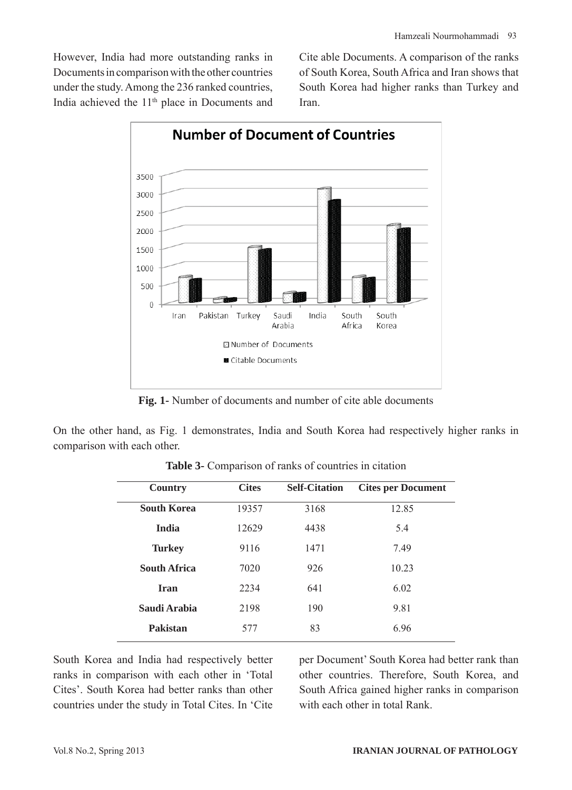However, India had more outstanding ranks in Documents in comparison with the other countries under the study. Among the 236 ranked countries, India achieved the 11<sup>th</sup> place in Documents and Cite able Documents. A comparison of the ranks of South Korea, South Africa and Iran shows that South Korea had higher ranks than Turkey and Iran.



**Fig. 1-** Number of documents and number of cite able documents

On the other hand, as Fig. 1 demonstrates, India and South Korea had respectively higher ranks in comparison with each other.

| <b>Country</b>      | <b>Cites</b> | <b>Self-Citation</b> | <b>Cites per Document</b> |
|---------------------|--------------|----------------------|---------------------------|
| <b>South Korea</b>  | 19357        | 3168                 | 12.85                     |
| <b>India</b>        | 12629        | 4438                 | 5.4                       |
| <b>Turkey</b>       | 9116         | 1471                 | 7.49                      |
| <b>South Africa</b> | 7020         | 926                  | 10.23                     |
| <b>Iran</b>         | 2234         | 641                  | 6.02                      |
| Saudi Arabia        | 2198         | 190                  | 9.81                      |
| Pakistan            | 577          | 83                   | 696                       |

**Table 3-** Comparison of ranks of countries in citation

South Korea and India had respectively better ranks in comparison with each other in 'Total Cites'. South Korea had better ranks than other countries under the study in Total Cites. In 'Cite

per Document' South Korea had better rank than other countries. Therefore, South Korea, and South Africa gained higher ranks in comparison with each other in total Rank.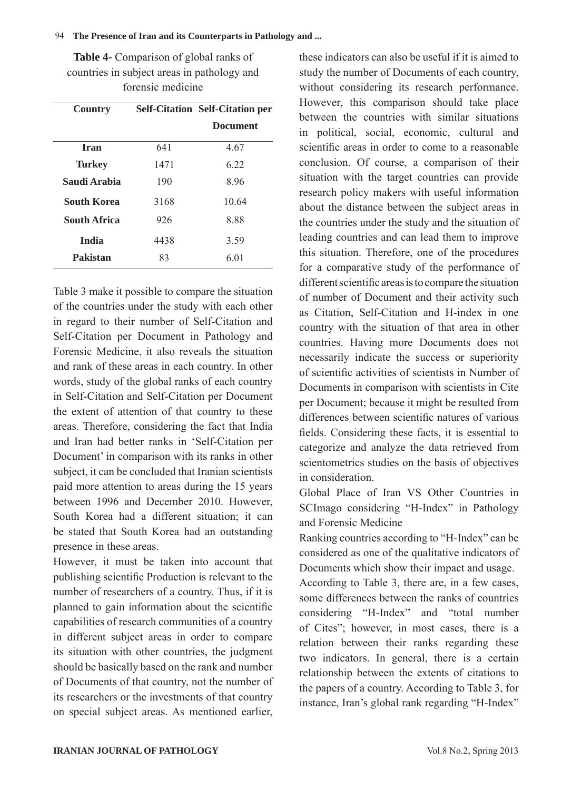#### 94 **The Presence of Iran and its Counterparts in Pathology and ...**

**Table 4-** Comparison of global ranks of countries in subject areas in pathology and forensic medicine

| <b>Country</b>      |      | <b>Self-Citation Self-Citation per</b> |
|---------------------|------|----------------------------------------|
|                     |      | <b>Document</b>                        |
| Iran                | 641  | 4.67                                   |
| <b>Turkey</b>       | 1471 | 6 22                                   |
| Saudi Arabia        | 190  | 8.96                                   |
| <b>South Korea</b>  | 3168 | 10.64                                  |
| <b>South Africa</b> | 926  | 8.88                                   |
| <b>India</b>        | 4438 | 3.59                                   |
| <b>Pakistan</b>     | 83   | 6.01                                   |

Table 3 make it possible to compare the situation of the countries under the study with each other in regard to their number of Self-Citation and Self-Citation per Document in Pathology and Forensic Medicine, it also reveals the situation and rank of these areas in each country. In other words, study of the global ranks of each country in Self-Citation and Self-Citation per Document the extent of attention of that country to these areas. Therefore, considering the fact that India and Iran had better ranks in 'Self-Citation per Document' in comparison with its ranks in other subject, it can be concluded that Iranian scientists paid more attention to areas during the 15 years between 1996 and December 2010 However South Korea had a different situation; it can be stated that South Korea had an outstanding presence in these areas.

However, it must be taken into account that publishing scientific Production is relevant to the number of researchers of a country. Thus, if it is planned to gain information about the scientific capabilities of research communities of a country in different subject areas in order to compare its situation with other countries, the judgment should be basically based on the rank and number of Documents of that country, not the number of its researchers or the investments of that country on special subject areas. As mentioned earlier,

these indicators can also be useful if it is aimed to study the number of Documents of each country, without considering its research performance. However, this comparison should take place between the countries with similar situations in political, social, economic, cultural and scientific areas in order to come to a reasonable conclusion. Of course, a comparison of their situation with the target countries can provide research policy makers with useful information about the distance between the subject areas in the countries under the study and the situation of leading countries and can lead them to improve this situation. Therefore, one of the procedures for a comparative study of the performance of different scientific areas is to compare the situation of number of Document and their activity such as Citation, Self-Citation and H-index in one country with the situation of that area in other countries. Having more Documents does not necessarily indicate the success or superiority of scientific activities of scientists in Number of Documents in comparison with scientists in Cite per Document; because it might be resulted from differences between scientific natures of various fields. Considering these facts, it is essential to categorize and analyze the data retrieved from scientometrics studies on the basis of objectives in consideration.

Global Place of Iran VS Other Countries in SCImago considering "H-Index" in Pathology and Forensic Medicine

Ranking countries according to "H-Index" can be considered as one of the qualitative indicators of Documents which show their impact and usage.

According to Table 3, there are, in a few cases, some differences between the ranks of countries considering "H-Index" and "total number of Cites"; however, in most cases, there is a relation between their ranks regarding these two indicators. In general, there is a certain relationship between the extents of citations to the papers of a country. According to Table 3, for instance, Iran's global rank regarding "H-Index"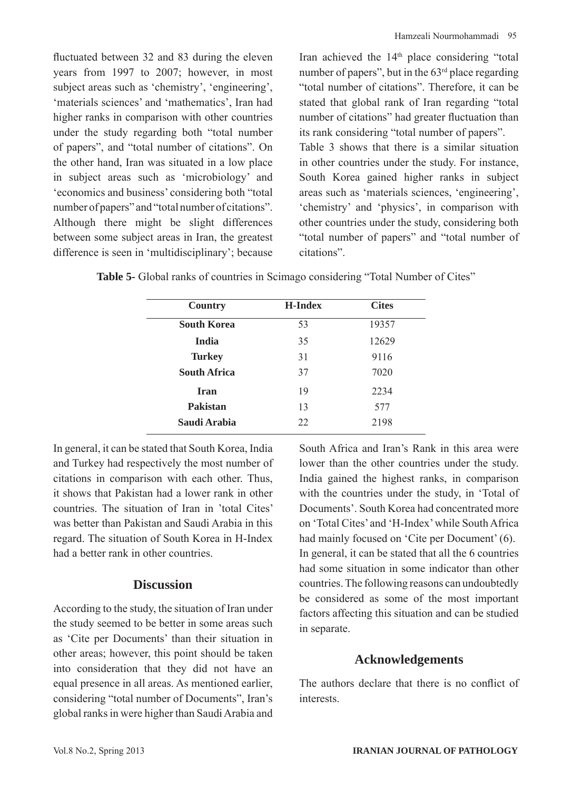fluctuated between 32 and 83 during the eleven years from 1997 to 2007; however, in most subject areas such as 'chemistry', 'engineering', 'materials sciences' and 'mathematics', Iran had higher ranks in comparison with other countries under the study regarding both "total number of papers", and "total number of citations". On the other hand, Iran was situated in a low place in subject areas such as 'microbiology' and 'economics and business' considering both "total number of papers" and "total number of citations". Although there might be slight differences between some subject areas in Iran, the greatest difference is seen in 'multidisciplinary'; because Iran achieved the 14th place considering "total number of papers", but in the  $63<sup>rd</sup>$  place regarding "total number of citations". Therefore, it can be stated that global rank of Iran regarding "total number of citations" had greater fluctuation than its rank considering "total number of papers". Table 3 shows that there is a similar situation in other countries under the study. For instance, South Korea gained higher ranks in subject areas such as 'materials sciences, 'engineering', 'chemistry' and 'physics', in comparison with other countries under the study, considering both "total number of papers" and "total number of citations".

| <b>Country</b>      | <b>H-Index</b> | <b>Cites</b> |
|---------------------|----------------|--------------|
| <b>South Korea</b>  | 53             | 19357        |
| <b>India</b>        | 35             | 12629        |
| <b>Turkey</b>       | 31             | 9116         |
| <b>South Africa</b> | 37             | 7020         |
| <b>Iran</b>         | 19             | 2234         |
| <b>Pakistan</b>     | 13             | 577          |
| Saudi Arabia        | 22             | 2198         |

**Table 5-** Global ranks of countries in Scimago considering "Total Number of Cites"

In general, it can be stated that South Korea, India and Turkey had respectively the most number of citations in comparison with each other. Thus, it shows that Pakistan had a lower rank in other countries. The situation of Iran in 'total Cites' was better than Pakistan and Saudi Arabia in this regard. The situation of South Korea in H-Index had a better rank in other countries.

## **Discussion**

According to the study, the situation of Iran under the study seemed to be better in some areas such as 'Cite per Documents' than their situation in other areas; however, this point should be taken into consideration that they did not have an equal presence in all areas. As mentioned earlier, considering "total number of Documents", Iran's global ranks in were higher than Saudi Arabia and South Africa and Iran's Rank in this area were lower than the other countries under the study. India gained the highest ranks, in comparison with the countries under the study, in 'Total of Documents'. South Korea had concentrated more on 'Total Cites' and 'H-Index' while South Africa had mainly focused on 'Cite per Document' (6). In general, it can be stated that all the 6 countries had some situation in some indicator than other countries. The following reasons can undoubtedly be considered as some of the most important factors affecting this situation and can be studied in separate.

### **Acknowledgements**

The authors declare that there is no conflict of interests.